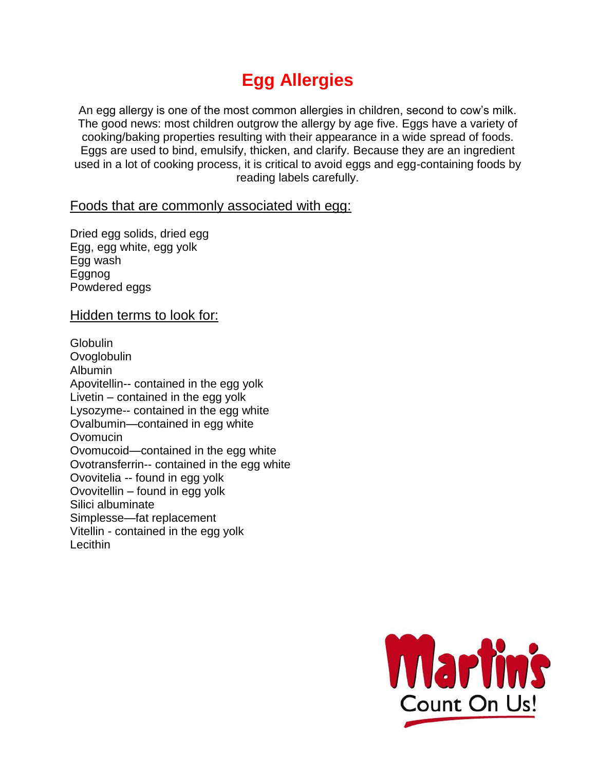# **Egg Allergies**

An egg allergy is one of the most common allergies in children, second to cow's milk. The good news: most children outgrow the allergy by age five. Eggs have a variety of cooking/baking properties resulting with their appearance in a wide spread of foods. Eggs are used to bind, emulsify, thicken, and clarify. Because they are an ingredient used in a lot of cooking process, it is critical to avoid eggs and egg-containing foods by reading labels carefully.

#### Foods that are commonly associated with egg:

Dried egg solids, dried egg Egg, egg white, egg yolk Egg wash Eggnog Powdered eggs

#### Hidden terms to look for:

**Globulin Ovoglobulin** Albumin Apovitellin-- contained in the egg yolk Livetin – contained in the egg yolk Lysozyme-- contained in the egg white Ovalbumin—contained in egg white **Ovomucin** Ovomucoid—contained in the egg white Ovotransferrin-- contained in the egg white Ovovitelia -- found in egg yolk Ovovitellin – found in egg yolk Silici albuminate Simplesse—fat replacement Vitellin - contained in the egg yolk Lecithin